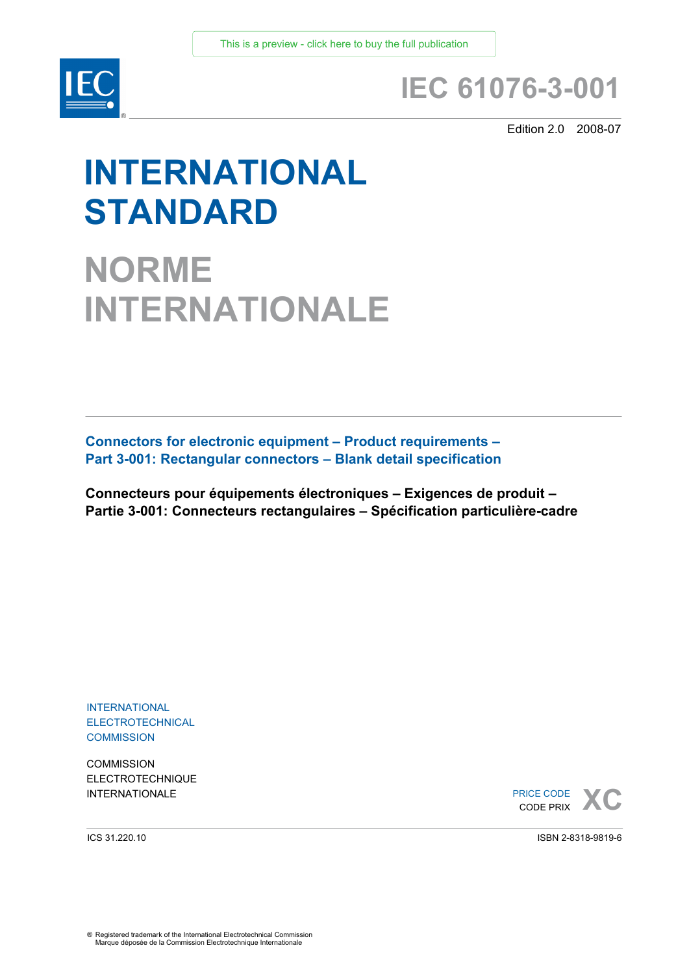

## **IEC 61076-3-001**

Edition 2.0 2008-07

# **INTERNATIONAL STANDARD**

**NORME INTERNATIONALE**

**Connectors for electronic equipment – Product requirements – Part 3-001: Rectangular connectors – Blank detail specification** 

**Connecteurs pour équipements électroniques – Exigences de produit – Partie 3-001: Connecteurs rectangulaires – Spécification particulière-cadre** 

INTERNATIONAL ELECTROTECHNICAL **COMMISSION** 

**COMMISSION** ELECTROTECHNIQUE

**INTERNATIONALE**<br> **INTERNATIONALE**<br> **CODE PRIX** CODE PRIX

ICS 31.220.10

ISBN 2-8318-9819-6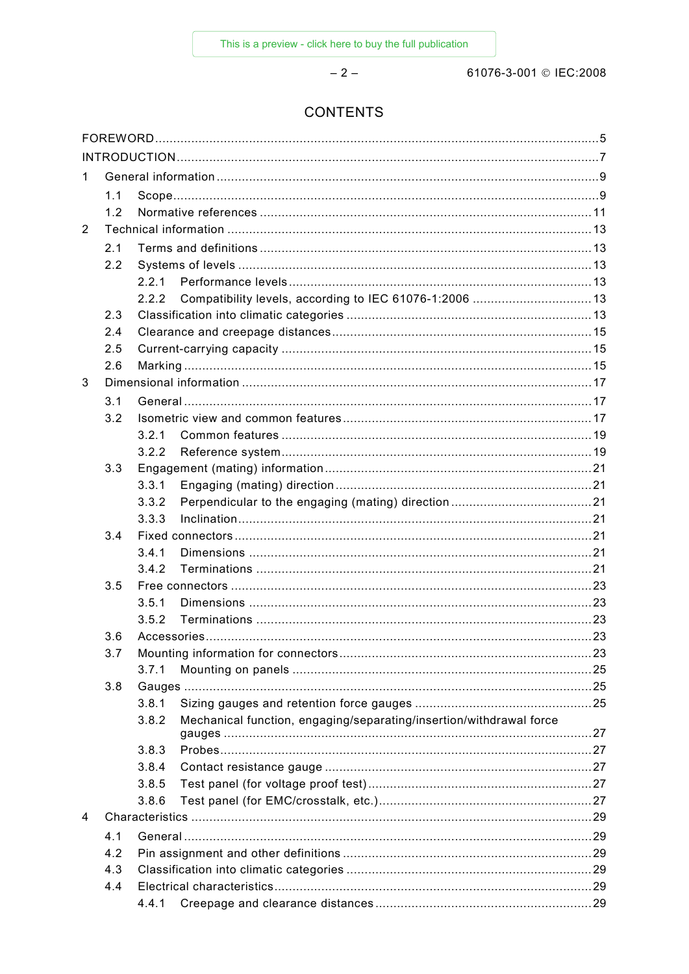61076-3-001 © IEC:2008

### **CONTENTS**

 $-2-$ 

| 1.             |     |       |                                                                     |  |
|----------------|-----|-------|---------------------------------------------------------------------|--|
|                | 1.1 |       |                                                                     |  |
|                | 1.2 |       |                                                                     |  |
| $\overline{2}$ |     |       |                                                                     |  |
|                | 2.1 |       |                                                                     |  |
|                | 2.2 |       |                                                                     |  |
|                |     | 2.2.1 |                                                                     |  |
|                |     | 2.2.2 | Compatibility levels, according to IEC 61076-1:2006  13             |  |
|                | 2.3 |       |                                                                     |  |
|                | 2.4 |       |                                                                     |  |
|                | 2.5 |       |                                                                     |  |
|                | 2.6 |       |                                                                     |  |
| 3              |     |       |                                                                     |  |
|                | 3.1 |       |                                                                     |  |
|                | 3.2 |       |                                                                     |  |
|                |     | 3.2.1 |                                                                     |  |
|                |     | 3.2.2 |                                                                     |  |
|                | 3.3 |       |                                                                     |  |
|                |     | 3.3.1 |                                                                     |  |
|                |     | 3.3.2 |                                                                     |  |
|                |     | 3.3.3 |                                                                     |  |
|                | 3.4 |       |                                                                     |  |
|                |     | 3.4.1 |                                                                     |  |
|                |     | 3.4.2 |                                                                     |  |
|                | 3.5 |       |                                                                     |  |
|                |     | 3.5.1 |                                                                     |  |
|                |     | 3.5.2 |                                                                     |  |
|                | 3.6 |       |                                                                     |  |
|                | 3.7 |       |                                                                     |  |
|                |     | 3.7.1 |                                                                     |  |
|                | 3.8 |       |                                                                     |  |
|                |     | 3.8.1 |                                                                     |  |
|                |     | 3.8.2 | Mechanical function, engaging/separating/insertion/withdrawal force |  |
|                |     | 3.8.3 |                                                                     |  |
|                |     | 3.8.4 |                                                                     |  |
|                |     | 3.8.5 |                                                                     |  |
|                |     | 3.8.6 |                                                                     |  |
| 4              |     |       |                                                                     |  |
|                | 4.1 |       |                                                                     |  |
|                | 4.2 |       |                                                                     |  |
|                | 4.3 |       |                                                                     |  |
|                | 4.4 |       |                                                                     |  |
|                |     |       |                                                                     |  |
|                |     |       |                                                                     |  |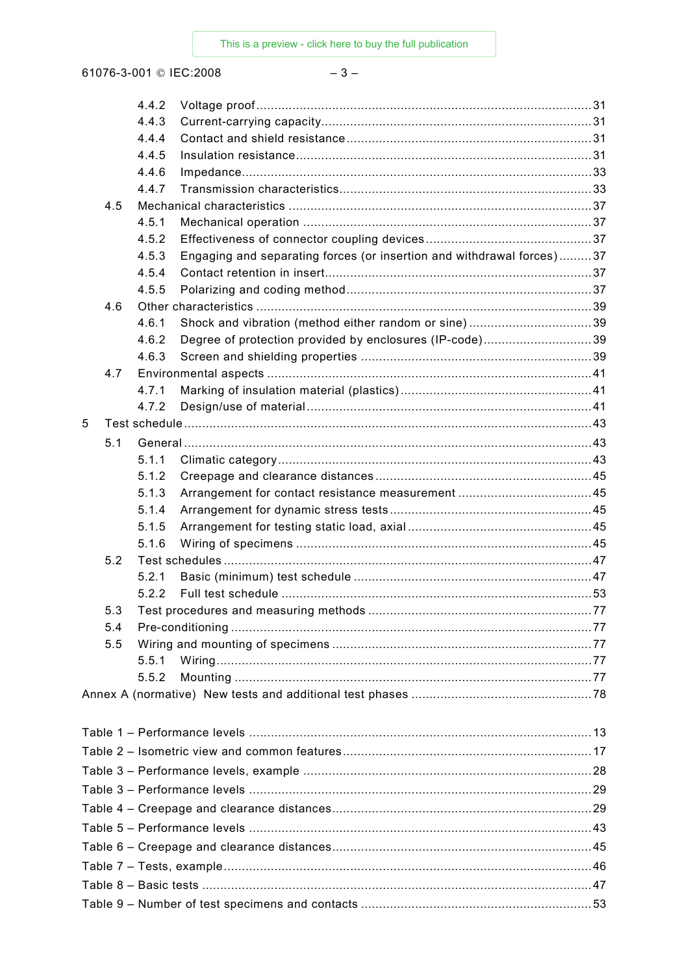61076-3-001 © IEC:2008

### $-3-$

|   |     | 4.4.2 |                                                                       |  |
|---|-----|-------|-----------------------------------------------------------------------|--|
|   |     | 4.4.3 |                                                                       |  |
|   |     | 4.4.4 |                                                                       |  |
|   |     | 4.4.5 |                                                                       |  |
|   |     | 4.4.6 |                                                                       |  |
|   |     | 4.4.7 |                                                                       |  |
|   | 4.5 |       |                                                                       |  |
|   |     | 4.5.1 |                                                                       |  |
|   |     | 4.5.2 |                                                                       |  |
|   |     | 4.5.3 | Engaging and separating forces (or insertion and withdrawal forces)37 |  |
|   |     | 4.5.4 |                                                                       |  |
|   |     | 4.5.5 |                                                                       |  |
|   | 4.6 |       |                                                                       |  |
|   |     | 4.6.1 | Shock and vibration (method either random or sine)39                  |  |
|   |     | 4.6.2 | Degree of protection provided by enclosures (IP-code)39               |  |
|   |     | 4.6.3 |                                                                       |  |
|   | 4.7 |       |                                                                       |  |
|   |     | 4.7.1 |                                                                       |  |
|   |     | 4.7.2 |                                                                       |  |
| 5 |     |       |                                                                       |  |
|   | 5.1 |       |                                                                       |  |
|   |     | 5.1.1 |                                                                       |  |
|   |     | 5.1.2 |                                                                       |  |
|   |     | 5.1.3 |                                                                       |  |
|   |     | 5.1.4 |                                                                       |  |
|   |     | 5.1.5 |                                                                       |  |
|   |     | 5.1.6 |                                                                       |  |
|   | 5.2 |       |                                                                       |  |
|   |     | 5.2.1 |                                                                       |  |
|   |     | 5.2.2 |                                                                       |  |
|   | 5.3 |       |                                                                       |  |
|   | 5.4 |       |                                                                       |  |
|   | 5.5 |       |                                                                       |  |
|   |     | 5.5.1 |                                                                       |  |
|   |     | 5.5.2 |                                                                       |  |
|   |     |       |                                                                       |  |
|   |     |       |                                                                       |  |
|   |     |       |                                                                       |  |
|   |     |       |                                                                       |  |
|   |     |       |                                                                       |  |
|   |     |       |                                                                       |  |
|   |     |       |                                                                       |  |
|   |     |       |                                                                       |  |
|   |     |       |                                                                       |  |
|   |     |       |                                                                       |  |
|   |     |       |                                                                       |  |
|   |     |       |                                                                       |  |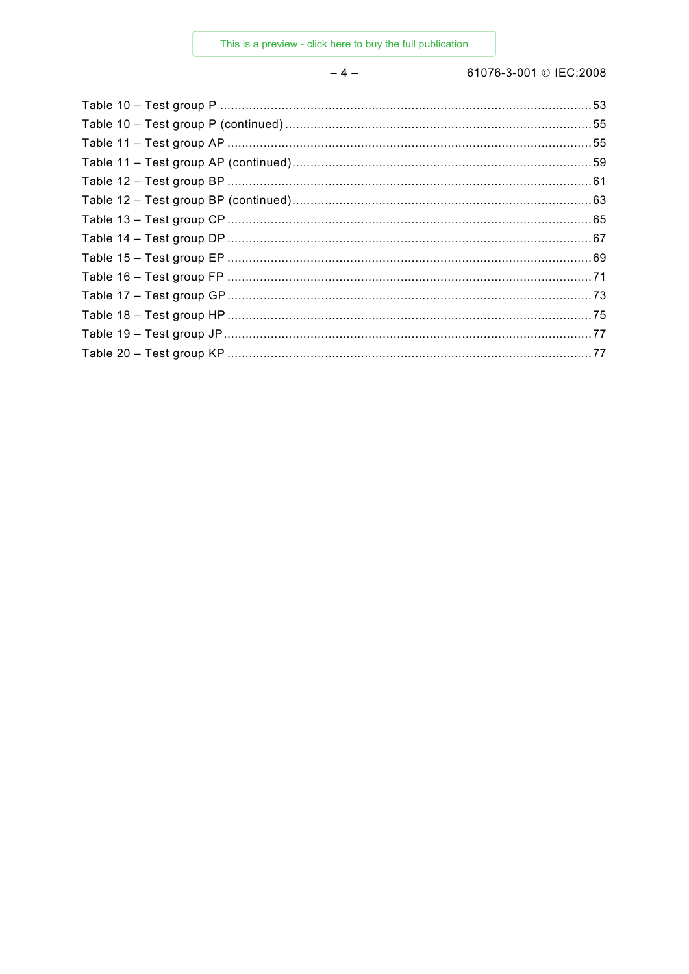$-4-$ 

61076-3-001 © IEC:2008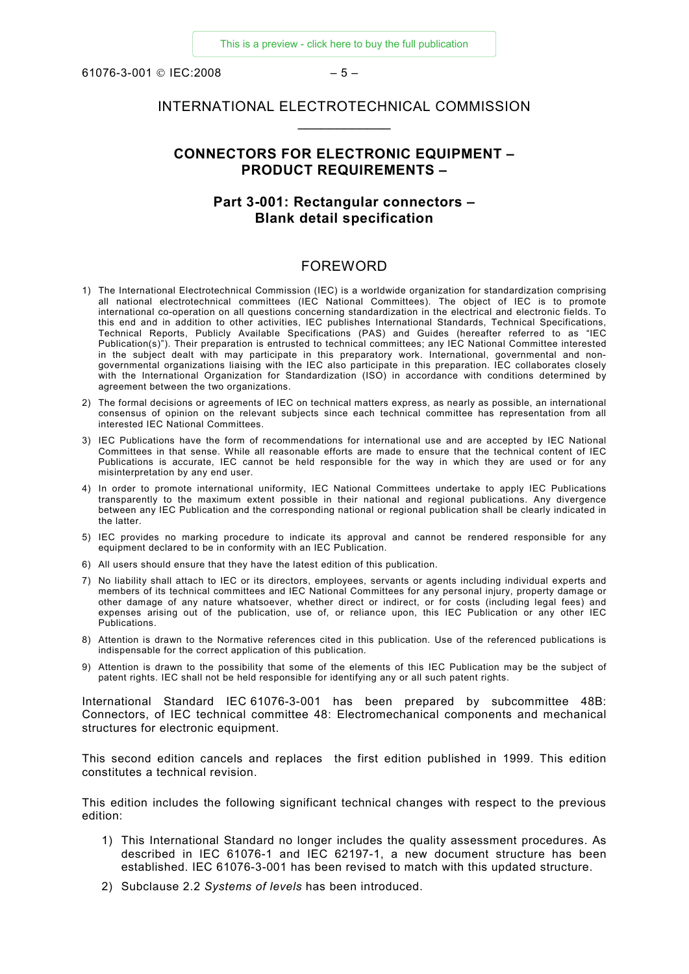<span id="page-4-0"></span> $61076 - 3 - 001$  © IFC: 2008 – 5 –

### INTERNATIONAL ELECTROTECHNICAL COMMISSION  $\frac{1}{2}$  ,  $\frac{1}{2}$  ,  $\frac{1}{2}$  ,  $\frac{1}{2}$  ,  $\frac{1}{2}$  ,  $\frac{1}{2}$

### **CONNECTORS FOR ELECTRONIC EQUIPMENT – PRODUCT REQUIREMENTS –**

### **Part 3-001: Rectangular connectors – Blank detail specification**

### FOREWORD

- 1) The International Electrotechnical Commission (IEC) is a worldwide organization for standardization comprising all national electrotechnical committees (IEC National Committees). The object of IEC is to promote international co-operation on all questions concerning standardization in the electrical and electronic fields. To this end and in addition to other activities, IEC publishes International Standards, Technical Specifications, Technical Reports, Publicly Available Specifications (PAS) and Guides (hereafter referred to as "IEC Publication(s)"). Their preparation is entrusted to technical committees; any IEC National Committee interested in the subject dealt with may participate in this preparatory work. International, governmental and nongovernmental organizations liaising with the IEC also participate in this preparation. IEC collaborates closely with the International Organization for Standardization (ISO) in accordance with conditions determined by agreement between the two organizations.
- 2) The formal decisions or agreements of IEC on technical matters express, as nearly as possible, an international consensus of opinion on the relevant subjects since each technical committee has representation from all interested IEC National Committees.
- 3) IEC Publications have the form of recommendations for international use and are accepted by IEC National Committees in that sense. While all reasonable efforts are made to ensure that the technical content of IEC Publications is accurate, IEC cannot be held responsible for the way in which they are used or for any misinterpretation by any end user.
- 4) In order to promote international uniformity, IEC National Committees undertake to apply IEC Publications transparently to the maximum extent possible in their national and regional publications. Any divergence between any IEC Publication and the corresponding national or regional publication shall be clearly indicated in the latter.
- 5) IEC provides no marking procedure to indicate its approval and cannot be rendered responsible for any equipment declared to be in conformity with an IEC Publication.
- 6) All users should ensure that they have the latest edition of this publication.
- 7) No liability shall attach to IEC or its directors, employees, servants or agents including individual experts and members of its technical committees and IEC National Committees for any personal injury, property damage or other damage of any nature whatsoever, whether direct or indirect, or for costs (including legal fees) and expenses arising out of the publication, use of, or reliance upon, this IEC Publication or any other IEC Publications.
- 8) Attention is drawn to the Normative references cited in this publication. Use of the referenced publications is indispensable for the correct application of this publication.
- 9) Attention is drawn to the possibility that some of the elements of this IEC Publication may be the subject of patent rights. IEC shall not be held responsible for identifying any or all such patent rights.

International Standard IEC 61076-3-001 has been prepared by subcommittee 48B: Connectors, of IEC technical committee 48: Electromechanical components and mechanical structures for electronic equipment.

This second edition cancels and replaces the first edition published in 1999. This edition constitutes a technical revision.

This edition includes the following significant technical changes with respect to the previous edition:

- 1) This International Standard no longer includes the quality assessment procedures. As described in IEC 61076-1 and IEC 62197-1, a new document structure has been established. IEC 61076-3-001 has been revised to match with this updated structure.
- 2) Subclause 2.2 *Systems of levels* has been introduced.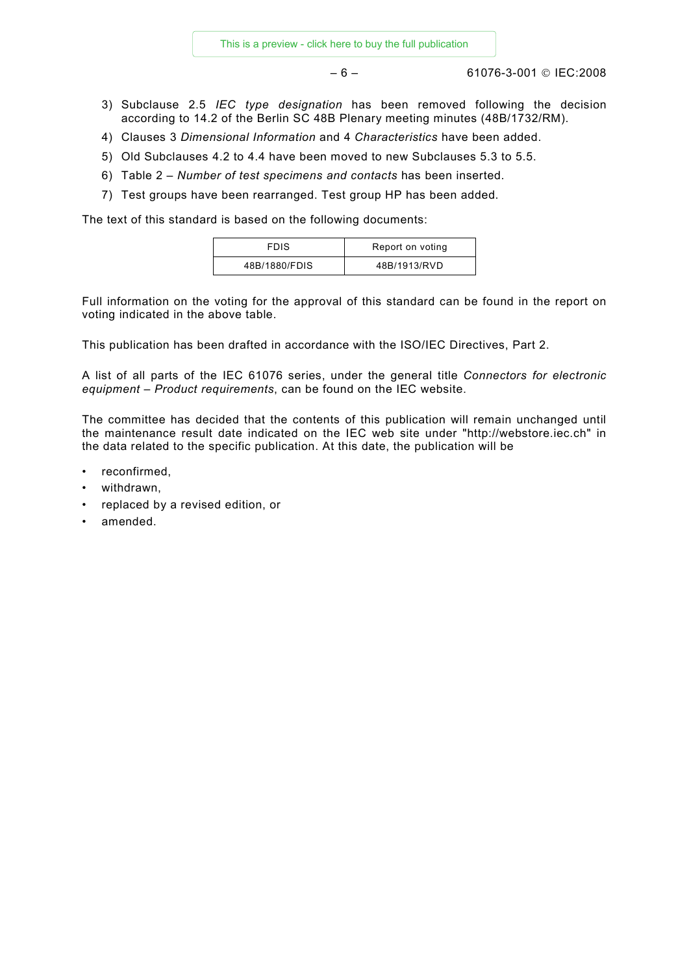– 6 – 61076-3-001 © IEC:2008

- 3) Subclause 2.5 *IEC type designation* has been removed following the decision according to 14.2 of the Berlin SC 48B Plenary meeting minutes (48B/1732/RM).
- 4) Clauses 3 *Dimensional Information* and 4 *Characteristics* have been added.
- 5) Old Subclauses 4.2 to 4.4 have been moved to new Subclauses 5.3 to 5.5.
- 6) Table 2 *Number of test specimens and contacts* has been inserted.
- 7) Test groups have been rearranged. Test group HP has been added.

The text of this standard is based on the following documents:

| <b>FDIS</b>   | Report on voting |
|---------------|------------------|
| 48B/1880/FDIS | 48B/1913/RVD     |

Full information on the voting for the approval of this standard can be found in the report on voting indicated in the above table.

This publication has been drafted in accordance with the ISO/IEC Directives, Part 2.

A list of all parts of the IEC 61076 series, under the general title *Connectors for electronic equipment – Product requirements*, can be found on the IEC website.

The committee has decided that the contents of this publication will remain unchanged until the maintenance result date indicated on the IEC web site under "http://webstore.iec.ch" in the data related to the specific publication. At this date, the publication will be

- reconfirmed,
- withdrawn,
- replaced by a revised edition, or
- amended.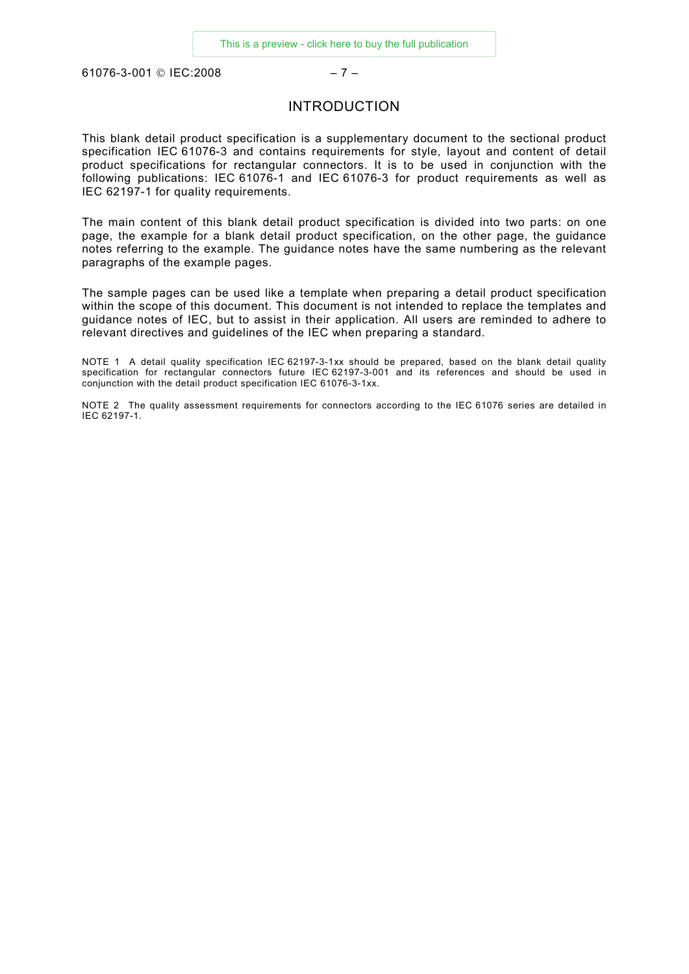<span id="page-6-0"></span>61076-3-001 © IEC:2008 – 7 –

### INTRODUCTION

This blank detail product specification is a supplementary document to the sectional product specification IEC 61076-3 and contains requirements for style, layout and content of detail product specifications for rectangular connectors. It is to be used in conjunction with the following publications: IEC 61076-1 and IEC 61076-3 for product requirements as well as IEC 62197-1 for quality requirements.

The main content of this blank detail product specification is divided into two parts: on one page, the example for a blank detail product specification, on the other page, the guidance notes referring to the example. The guidance notes have the same numbering as the relevant paragraphs of the example pages.

The sample pages can be used like a template when preparing a detail product specification within the scope of this document. This document is not intended to replace the templates and guidance notes of IEC, but to assist in their application. All users are reminded to adhere to relevant directives and guidelines of the IEC when preparing a standard.

NOTE 1 A detail quality specification IEC 62197-3-1xx should be prepared, based on the blank detail quality specification for rectangular connectors future IEC 62197-3-001 and its references and should be used in conjunction with the detail product specification IEC 61076-3-1xx.

NOTE 2 The quality assessment requirements for connectors according to the IEC 61076 series are detailed in IEC 62197-1.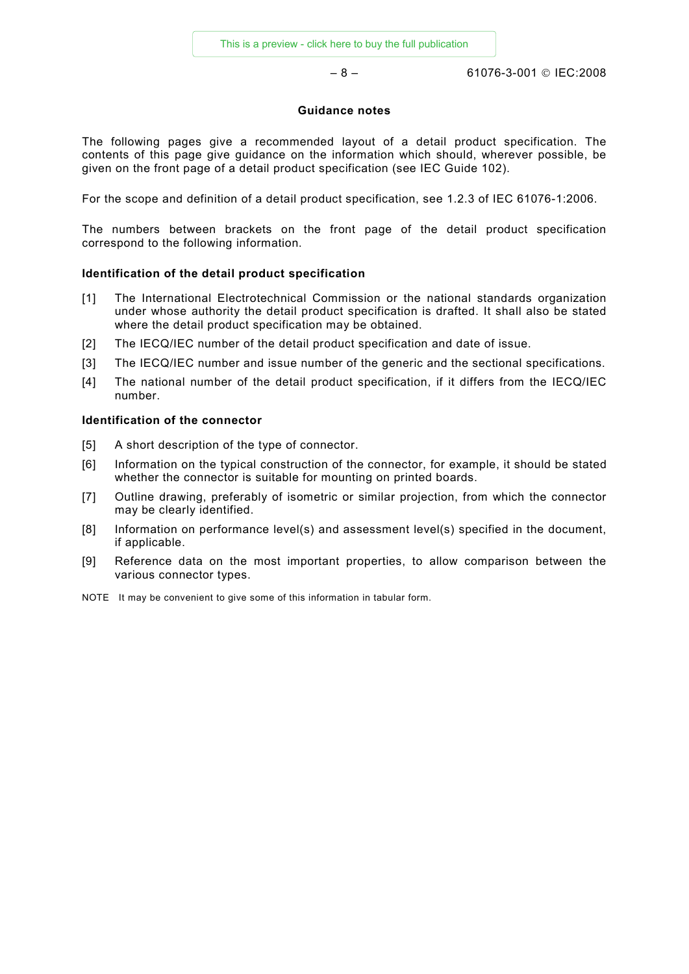– 8 – 61076-3-001 © IEC:2008

### **Guidance notes**

The following pages give a recommended layout of a detail product specification. The contents of this page give guidance on the information which should, wherever possible, be given on the front page of a detail product specification (see IEC Guide 102).

For the scope and definition of a detail product specification, see 1.2.3 of IEC 61076-1:2006.

The numbers between brackets on the front page of the detail product specification correspond to the following information.

### **Identification of the detail product specification**

- [1] The International Electrotechnical Commission or the national standards organization under whose authority the detail product specification is drafted. It shall also be stated where the detail product specification may be obtained.
- [2] The IECQ/IEC number of the detail product specification and date of issue.
- [3] The IECQ/IEC number and issue number of the generic and the sectional specifications.
- [4] The national number of the detail product specification, if it differs from the IECQ/IEC number.

### **Identification of the connector**

- [5] A short description of the type of connector.
- [6] Information on the typical construction of the connector, for example, it should be stated whether the connector is suitable for mounting on printed boards.
- [7] Outline drawing, preferably of isometric or similar projection, from which the connector may be clearly identified.
- [8] Information on performance level(s) and assessment level(s) specified in the document, if applicable.
- [9] Reference data on the most important properties, to allow comparison between the various connector types.
- NOTE It may be convenient to give some of this information in tabular form.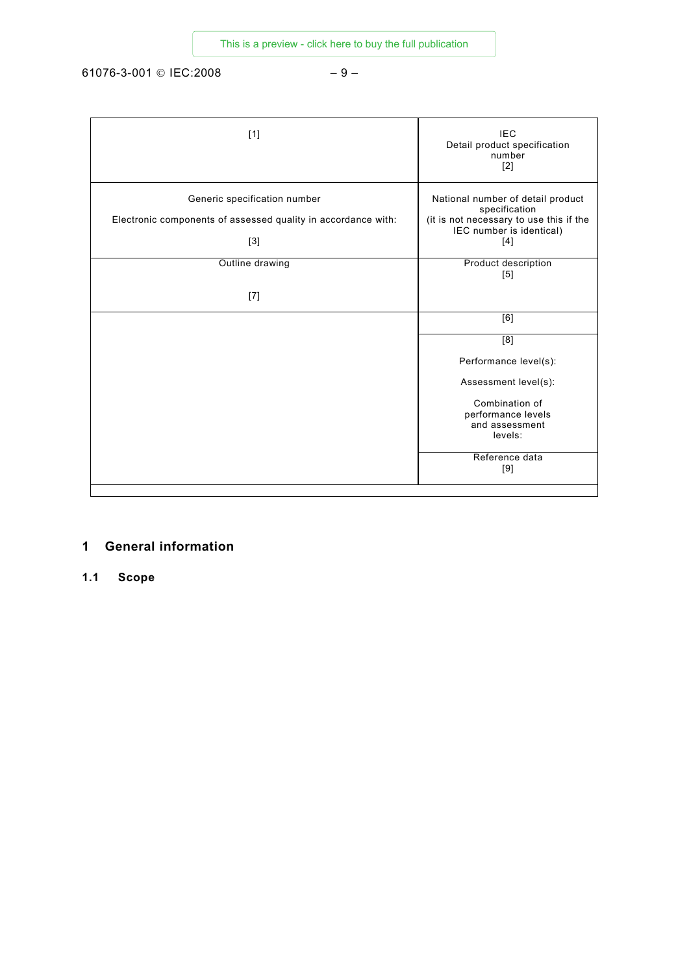<span id="page-8-0"></span>61076-3-001 © IEC:2008 – 9 –

| $[1]$                                                                                                  | <b>IEC</b><br>Detail product specification<br>number<br>$[2]$                                                                    |
|--------------------------------------------------------------------------------------------------------|----------------------------------------------------------------------------------------------------------------------------------|
| Generic specification number<br>Electronic components of assessed quality in accordance with:<br>$[3]$ | National number of detail product<br>specification<br>(it is not necessary to use this if the<br>IEC number is identical)<br>[4] |
| Outline drawing<br>$[7]$                                                                               | Product description<br>$[5]$                                                                                                     |
|                                                                                                        | $\overline{[6]}$                                                                                                                 |
|                                                                                                        | [8]<br>Performance level(s):                                                                                                     |
|                                                                                                        | Assessment level(s):<br>Combination of<br>performance levels<br>and assessment<br>levels:                                        |
|                                                                                                        | Reference data<br>[9]                                                                                                            |

### **1 General information**

**1.1 Scope**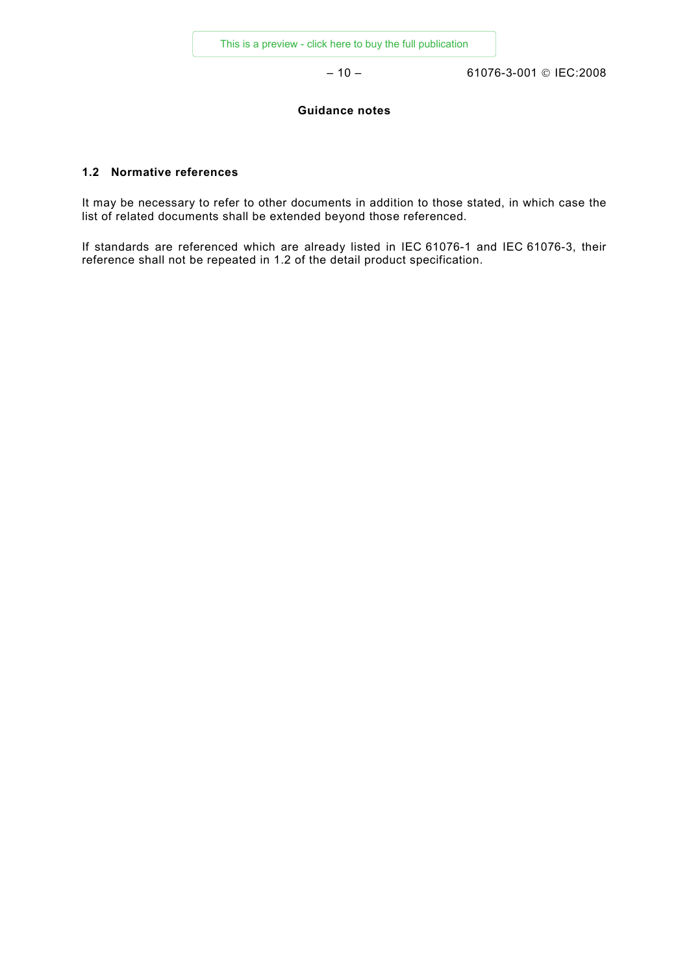– 10 – 61076-3-001 © IEC:2008

### **Guidance notes**

### **1.2 Normative references**

It may be necessary to refer to other documents in addition to those stated, in which case the list of related documents shall be extended beyond those referenced.

If standards are referenced which are already listed in IEC 61076-1 and IEC 61076-3, their reference shall not be repeated in 1.2 of the detail product specification.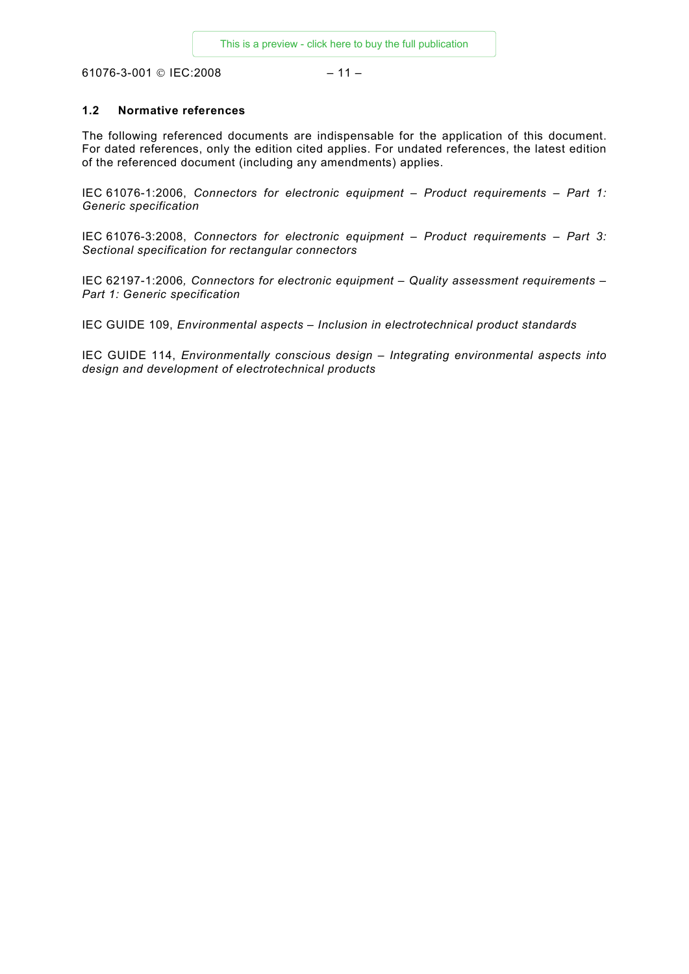<span id="page-10-0"></span>61076-3-001 © IEC:2008 – 11 –

### **1.2 Normative references**

The following referenced documents are indispensable for the application of this document. For dated references, only the edition cited applies. For undated references, the latest edition of the referenced document (including any amendments) applies.

IEC 61076-1:2006, *Connectors for electronic equipment – Product requirements – Part 1: Generic specification*

IEC 61076-3:2008, *Connectors for electronic equipment – Product requirements – Part 3: Sectional specification for rectangular connectors*

IEC 62197-1:2006*, Connectors for electronic equipment – Quality assessment requirements – Part 1: Generic specification* 

IEC GUIDE 109, *Environmental aspects – Inclusion in electrotechnical product standards*

IEC GUIDE 114, *Environmentally conscious design – Integrating environmental aspects into design and development of electrotechnical products*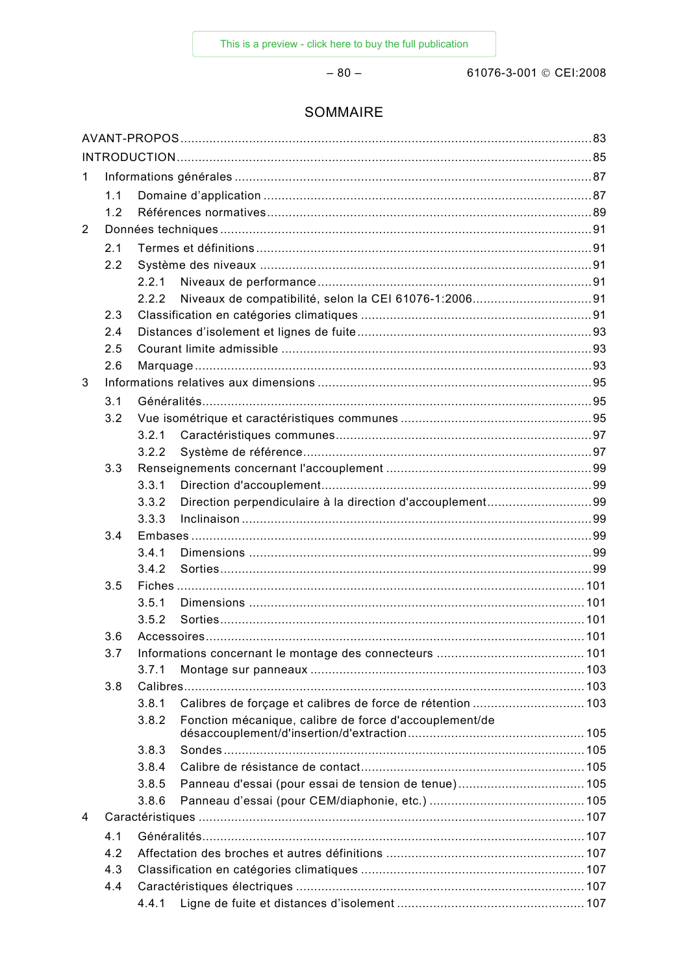$-80-$ 

61076-3-001 © CEI:2008

### SOMMAIRE

| $\mathbf 1$    |     |       |                                                            |  |  |
|----------------|-----|-------|------------------------------------------------------------|--|--|
|                | 1.1 |       |                                                            |  |  |
|                | 1.2 |       |                                                            |  |  |
| $\overline{2}$ |     |       |                                                            |  |  |
|                | 2.1 |       |                                                            |  |  |
|                | 2.2 |       |                                                            |  |  |
|                |     | 2.2.1 |                                                            |  |  |
|                |     | 2.2.2 |                                                            |  |  |
|                | 2.3 |       |                                                            |  |  |
|                | 2.4 |       |                                                            |  |  |
|                | 2.5 |       |                                                            |  |  |
|                | 2.6 |       |                                                            |  |  |
| 3              |     |       |                                                            |  |  |
|                | 3.1 |       |                                                            |  |  |
|                | 3.2 |       |                                                            |  |  |
|                |     | 3.2.1 |                                                            |  |  |
|                |     | 3.2.2 |                                                            |  |  |
|                | 3.3 |       |                                                            |  |  |
|                |     | 3.3.1 |                                                            |  |  |
|                |     | 3.3.2 | Direction perpendiculaire à la direction d'accouplement99  |  |  |
|                |     | 3.3.3 |                                                            |  |  |
|                | 3.4 |       |                                                            |  |  |
|                |     | 3.4.1 |                                                            |  |  |
|                |     | 3.4.2 |                                                            |  |  |
|                | 3.5 |       |                                                            |  |  |
|                |     | 3.5.1 |                                                            |  |  |
|                |     | 3.5.2 |                                                            |  |  |
|                | 3.6 |       |                                                            |  |  |
|                | 3.7 |       |                                                            |  |  |
|                |     | 3.7.1 |                                                            |  |  |
|                | 3.8 |       |                                                            |  |  |
|                |     | 3.8.1 | Calibres de forçage et calibres de force de rétention  103 |  |  |
|                |     | 3.8.2 | Fonction mécanique, calibre de force d'accouplement/de     |  |  |
|                |     |       |                                                            |  |  |
|                |     | 3.8.3 |                                                            |  |  |
|                |     | 3.8.4 |                                                            |  |  |
|                |     | 3.8.5 | Panneau d'essai (pour essai de tension de tenue) 105       |  |  |
|                |     | 3.8.6 |                                                            |  |  |
| 4              |     |       |                                                            |  |  |
|                | 4.1 |       |                                                            |  |  |
|                | 4.2 |       |                                                            |  |  |
|                | 4.3 |       |                                                            |  |  |
|                | 4.4 |       |                                                            |  |  |
|                |     | 4.4.1 |                                                            |  |  |
|                |     |       |                                                            |  |  |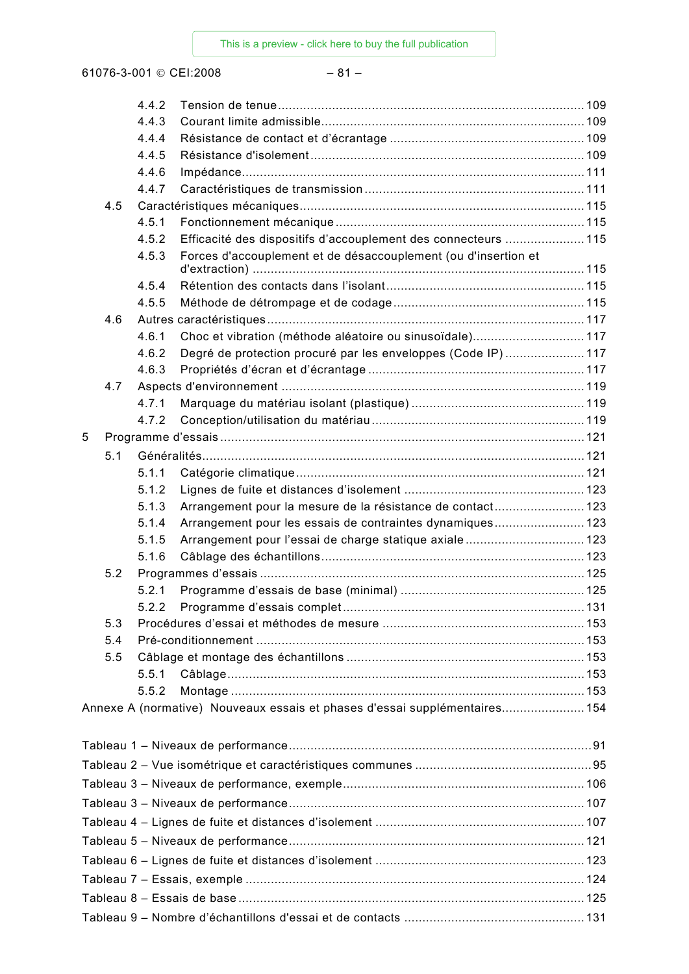61076-3-001 © CEI:2008 – 81 –

|   |     | 4.4.2 |                                                                            |  |
|---|-----|-------|----------------------------------------------------------------------------|--|
|   |     | 4.4.3 |                                                                            |  |
|   |     | 4.4.4 |                                                                            |  |
|   |     | 4.4.5 |                                                                            |  |
|   |     | 4.4.6 |                                                                            |  |
|   |     | 4.4.7 |                                                                            |  |
|   | 4.5 |       |                                                                            |  |
|   |     | 4.5.1 |                                                                            |  |
|   |     | 4.5.2 | Efficacité des dispositifs d'accouplement des connecteurs  115             |  |
|   |     | 4.5.3 | Forces d'accouplement et de désaccouplement (ou d'insertion et             |  |
|   |     | 4.5.4 |                                                                            |  |
|   |     | 4.5.5 |                                                                            |  |
|   | 4.6 |       |                                                                            |  |
|   |     | 4.6.1 | Choc et vibration (méthode aléatoire ou sinusoïdale) 117                   |  |
|   |     | 4.6.2 | Degré de protection procuré par les enveloppes (Code IP)  117              |  |
|   |     | 4.6.3 |                                                                            |  |
|   | 4.7 |       |                                                                            |  |
|   |     | 4.7.1 |                                                                            |  |
|   |     | 4.7.2 |                                                                            |  |
| 5 |     |       |                                                                            |  |
|   | 5.1 |       |                                                                            |  |
|   |     | 5.1.1 |                                                                            |  |
|   |     | 5.1.2 |                                                                            |  |
|   |     | 5.1.3 | Arrangement pour la mesure de la résistance de contact 123                 |  |
|   |     | 5.1.4 | Arrangement pour les essais de contraintes dynamiques 123                  |  |
|   |     | 5.1.5 | Arrangement pour l'essai de charge statique axiale 123                     |  |
|   |     | 5.1.6 |                                                                            |  |
|   | 5.2 |       |                                                                            |  |
|   |     | 5.2.1 |                                                                            |  |
|   |     | 522   |                                                                            |  |
|   | 5.3 |       |                                                                            |  |
|   | 5.4 |       |                                                                            |  |
|   | 5.5 |       |                                                                            |  |
|   |     | 5.5.1 |                                                                            |  |
|   |     | 5.5.2 |                                                                            |  |
|   |     |       | Annexe A (normative) Nouveaux essais et phases d'essai supplémentaires 154 |  |
|   |     |       |                                                                            |  |
|   |     |       |                                                                            |  |
|   |     |       |                                                                            |  |
|   |     |       |                                                                            |  |
|   |     |       |                                                                            |  |
|   |     |       |                                                                            |  |
|   |     |       |                                                                            |  |
|   |     |       |                                                                            |  |
|   |     |       |                                                                            |  |
|   |     |       |                                                                            |  |
|   |     |       |                                                                            |  |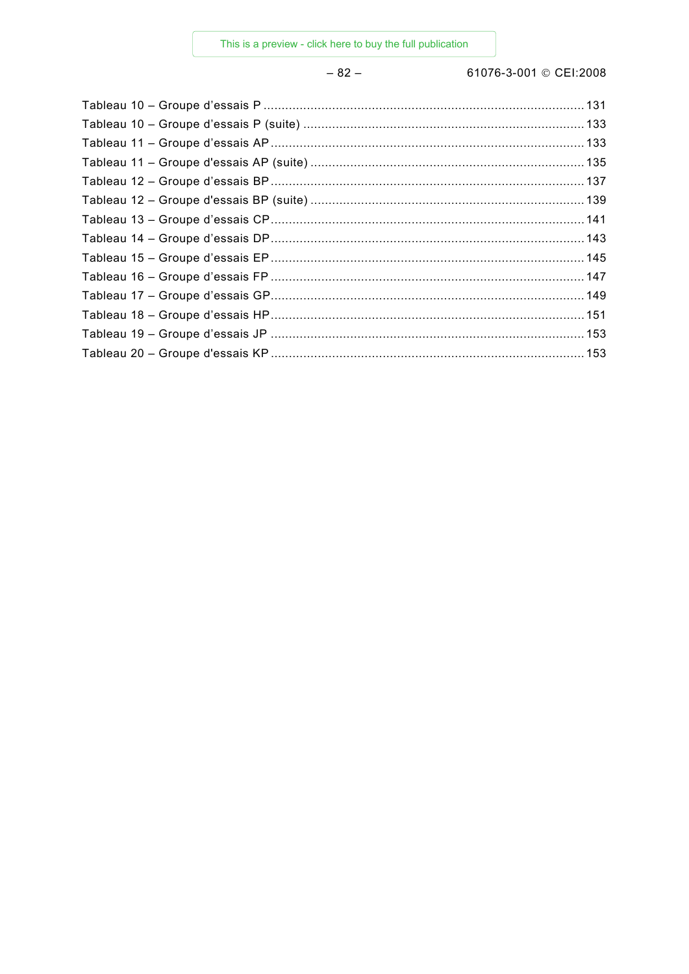### $-82-$

61076-3-001 © CEI:2008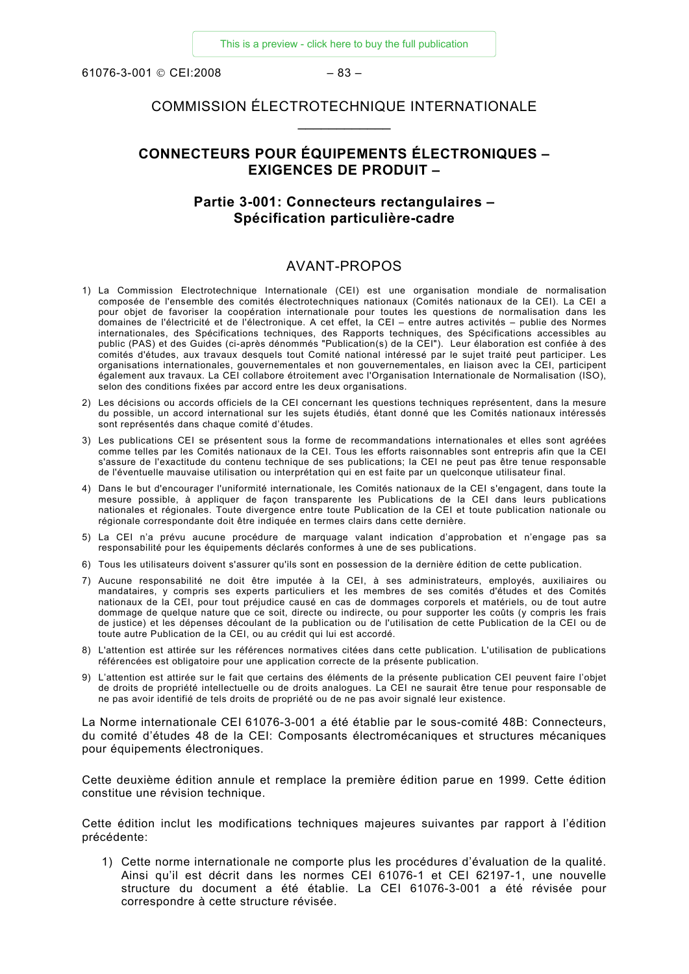<span id="page-14-0"></span>61076-3-001 © CEI:2008 – 83 –

### COMMISSION ÉLECTROTECHNIQUE INTERNATIONALE  $\frac{1}{2}$  ,  $\frac{1}{2}$  ,  $\frac{1}{2}$  ,  $\frac{1}{2}$  ,  $\frac{1}{2}$  ,  $\frac{1}{2}$

### **CONNECTEURS POUR ÉQUIPEMENTS ÉLECTRONIQUES – EXIGENCES DE PRODUIT –**

### **Partie 3-001: Connecteurs rectangulaires – Spécification particulière-cadre**

### AVANT-PROPOS

- 1) La Commission Electrotechnique Internationale (CEI) est une organisation mondiale de normalisation composée de l'ensemble des comités électrotechniques nationaux (Comités nationaux de la CEI). La CEI a pour objet de favoriser la coopération internationale pour toutes les questions de normalisation dans les domaines de l'électricité et de l'électronique. A cet effet, la CEI – entre autres activités – publie des Normes internationales, des Spécifications techniques, des Rapports techniques, des Spécifications accessibles au public (PAS) et des Guides (ci-après dénommés "Publication(s) de la CEI"). Leur élaboration est confiée à des comités d'études, aux travaux desquels tout Comité national intéressé par le sujet traité peut participer. Les organisations internationales, gouvernementales et non gouvernementales, en liaison avec la CEI, participent également aux travaux. La CEI collabore étroitement avec l'Organisation Internationale de Normalisation (ISO), selon des conditions fixées par accord entre les deux organisations.
- 2) Les décisions ou accords officiels de la CEI concernant les questions techniques représentent, dans la mesure du possible, un accord international sur les sujets étudiés, étant donné que les Comités nationaux intéressés sont représentés dans chaque comité d'études.
- 3) Les publications CEI se présentent sous la forme de recommandations internationales et elles sont agréées comme telles par les Comités nationaux de la CEI. Tous les efforts raisonnables sont entrepris afin que la CEI s'assure de l'exactitude du contenu technique de ses publications; la CEI ne peut pas être tenue responsable de l'éventuelle mauvaise utilisation ou interprétation qui en est faite par un quelconque utilisateur final.
- 4) Dans le but d'encourager l'uniformité internationale, les Comités nationaux de la CEI s'engagent, dans toute la mesure possible, à appliquer de façon transparente les Publications de la CEI dans leurs publications nationales et régionales. Toute divergence entre toute Publication de la CEI et toute publication nationale ou régionale correspondante doit être indiquée en termes clairs dans cette dernière.
- 5) La CEI n'a prévu aucune procédure de marquage valant indication d'approbation et n'engage pas sa responsabilité pour les équipements déclarés conformes à une de ses publications.
- 6) Tous les utilisateurs doivent s'assurer qu'ils sont en possession de la dernière édition de cette publication.
- 7) Aucune responsabilité ne doit être imputée à la CEI, à ses administrateurs, employés, auxiliaires ou mandataires, y compris ses experts particuliers et les membres de ses comités d'études et des Comités nationaux de la CEI, pour tout préjudice causé en cas de dommages corporels et matériels, ou de tout autre dommage de quelque nature que ce soit, directe ou indirecte, ou pour supporter les coûts (y compris les frais de justice) et les dépenses découlant de la publication ou de l'utilisation de cette Publication de la CEI ou de toute autre Publication de la CEI, ou au crédit qui lui est accordé.
- 8) L'attention est attirée sur les références normatives citées dans cette publication. L'utilisation de publications référencées est obligatoire pour une application correcte de la présente publication.
- 9) L'attention est attirée sur le fait que certains des éléments de la présente publication CEI peuvent faire l'objet de droits de propriété intellectuelle ou de droits analogues. La CEI ne saurait être tenue pour responsable de ne pas avoir identifié de tels droits de propriété ou de ne pas avoir signalé leur existence.

La Norme internationale CEI 61076-3-001 a été établie par le sous-comité 48B: Connecteurs, du comité d'études 48 de la CEI: Composants électromécaniques et structures mécaniques pour équipements électroniques.

Cette deuxième édition annule et remplace la première édition parue en 1999. Cette édition constitue une révision technique.

Cette édition inclut les modifications techniques majeures suivantes par rapport à l'édition précédente:

1) Cette norme internationale ne comporte plus les procédures d'évaluation de la qualité. Ainsi qu'il est décrit dans les normes CEI 61076-1 et CEI 62197-1, une nouvelle structure du document a été établie. La CEI 61076-3-001 a été révisée pour correspondre à cette structure révisée.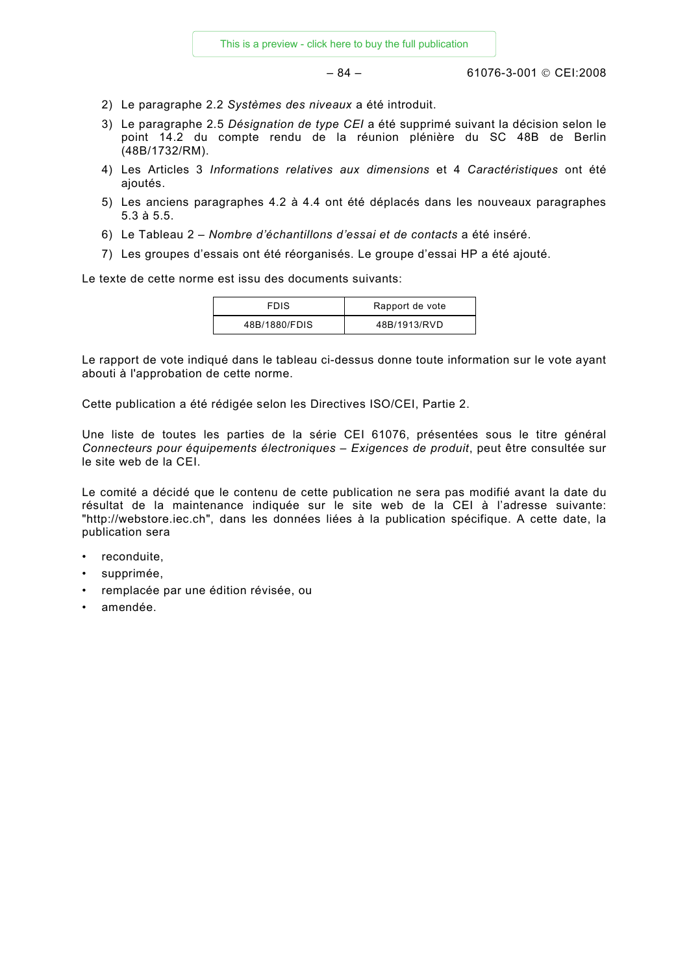– 84 – 61076-3-001 © CEI:2008

- 2) Le paragraphe 2.2 *Systèmes des niveaux* a été introduit.
- 3) Le paragraphe 2.5 *Désignation de type CEI* a été supprimé suivant la décision selon le point 14.2 du compte rendu de la réunion plénière du SC 48B de Berlin (48B/1732/RM).
- 4) Les Articles 3 *Informations relatives aux dimensions* et 4 *Caractéristiques* ont été ajoutés.
- 5) Les anciens paragraphes 4.2 à 4.4 ont été déplacés dans les nouveaux paragraphes 5.3 à 5.5.
- 6) Le Tableau 2 *Nombre d'échantillons d'essai et de contacts* a été inséré.
- 7) Les groupes d'essais ont été réorganisés. Le groupe d'essai HP a été ajouté.

Le texte de cette norme est issu des documents suivants:

| <b>FDIS</b>   | Rapport de vote |
|---------------|-----------------|
| 48B/1880/FDIS | 48B/1913/RVD    |

Le rapport de vote indiqué dans le tableau ci-dessus donne toute information sur le vote ayant abouti à l'approbation de cette norme.

Cette publication a été rédigée selon les Directives ISO/CEI, Partie 2.

Une liste de toutes les parties de la série CEI 61076, présentées sous le titre général *Connecteurs pour équipements électroniques – Exigences de produit*, peut être consultée sur le site web de la CEI.

Le comité a décidé que le contenu de cette publication ne sera pas modifié avant la date du résultat de la maintenance indiquée sur le site web de la CEI à l'adresse suivante: "http://webstore.iec.ch", dans les données liées à la publication spécifique. A cette date, la publication sera

- reconduite,
- supprimée,
- remplacée par une édition révisée, ou
- amendée.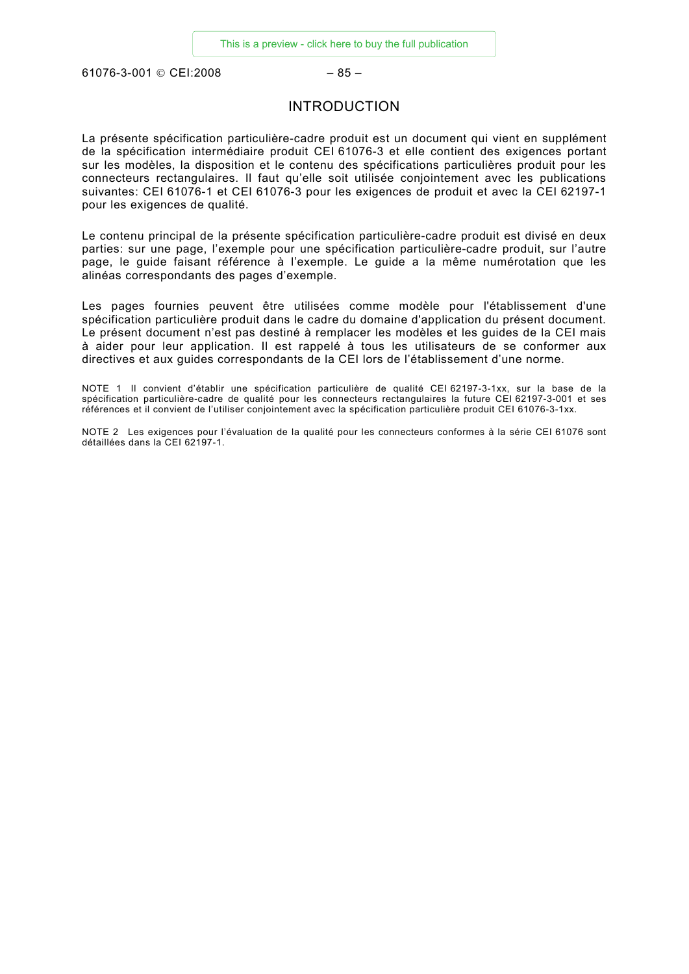<span id="page-16-0"></span>61076-3-001 © CEI:2008 – 85 –

### INTRODUCTION

La présente spécification particulière-cadre produit est un document qui vient en supplément de la spécification intermédiaire produit CEI 61076-3 et elle contient des exigences portant sur les modèles, la disposition et le contenu des spécifications particulières produit pour les connecteurs rectangulaires. Il faut qu'elle soit utilisée conjointement avec les publications suivantes: CEI 61076-1 et CEI 61076-3 pour les exigences de produit et avec la CEI 62197-1 pour les exigences de qualité.

Le contenu principal de la présente spécification particulière-cadre produit est divisé en deux parties: sur une page, l'exemple pour une spécification particulière-cadre produit, sur l'autre page, le guide faisant référence à l'exemple. Le guide a la même numérotation que les alinéas correspondants des pages d'exemple.

Les pages fournies peuvent être utilisées comme modèle pour l'établissement d'une spécification particulière produit dans le cadre du domaine d'application du présent document. Le présent document n'est pas destiné à remplacer les modèles et les guides de la CEI mais à aider pour leur application. Il est rappelé à tous les utilisateurs de se conformer aux directives et aux guides correspondants de la CEI lors de l'établissement d'une norme.

NOTE 1 Il convient d'établir une spécification particulière de qualité CEI 62197-3-1xx, sur la base de la spécification particulière-cadre de qualité pour les connecteurs rectangulaires la future CEI 62197-3-001 et ses références et il convient de l'utiliser conjointement avec la spécification particulière produit CEI 61076-3-1xx.

NOTE 2 Les exigences pour l'évaluation de la qualité pour les connecteurs conformes à la série CEI 61076 sont détaillées dans la CEI 62197-1.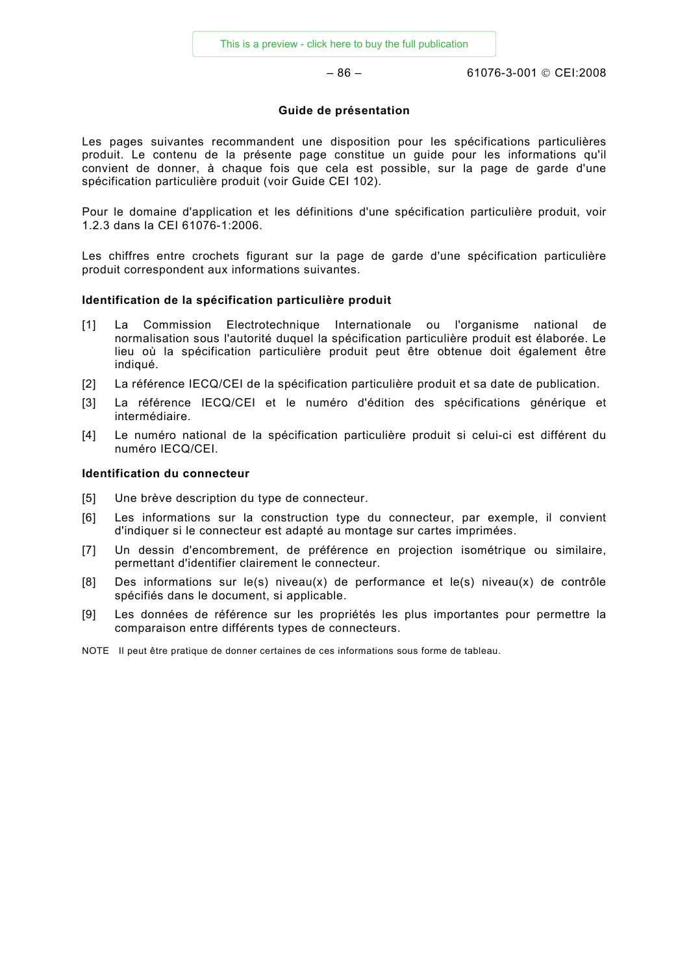– 86 – 61076-3-001 © CEI:2008

### **Guide de présentation**

Les pages suivantes recommandent une disposition pour les spécifications particulières produit. Le contenu de la présente page constitue un guide pour les informations qu'il convient de donner, à chaque fois que cela est possible, sur la page de garde d'une spécification particulière produit (voir Guide CEI 102).

Pour le domaine d'application et les définitions d'une spécification particulière produit, voir 1.2.3 dans la CEI 61076-1:2006.

Les chiffres entre crochets figurant sur la page de garde d'une spécification particulière produit correspondent aux informations suivantes.

### **Identification de la spécification particulière produit**

- [1] La Commission Electrotechnique Internationale ou l'organisme national de normalisation sous l'autorité duquel la spécification particulière produit est élaborée. Le lieu où la spécification particulière produit peut être obtenue doit également être indiqué.
- [2] La référence IECQ/CEI de la spécification particulière produit et sa date de publication.
- [3] La référence IECQ/CEI et le numéro d'édition des spécifications générique et intermédiaire.
- [4] Le numéro national de la spécification particulière produit si celui-ci est différent du numéro IECQ/CEI.

### **Identification du connecteur**

- [5] Une brève description du type de connecteur.
- [6] Les informations sur la construction type du connecteur, par exemple, il convient d'indiquer si le connecteur est adapté au montage sur cartes imprimées.
- [7] Un dessin d'encombrement, de préférence en projection isométrique ou similaire, permettant d'identifier clairement le connecteur.
- [8] Des informations sur le(s) niveau(x) de performance et le(s) niveau(x) de contrôle spécifiés dans le document, si applicable.
- [9] Les données de référence sur les propriétés les plus importantes pour permettre la comparaison entre différents types de connecteurs.

NOTE Il peut être pratique de donner certaines de ces informations sous forme de tableau.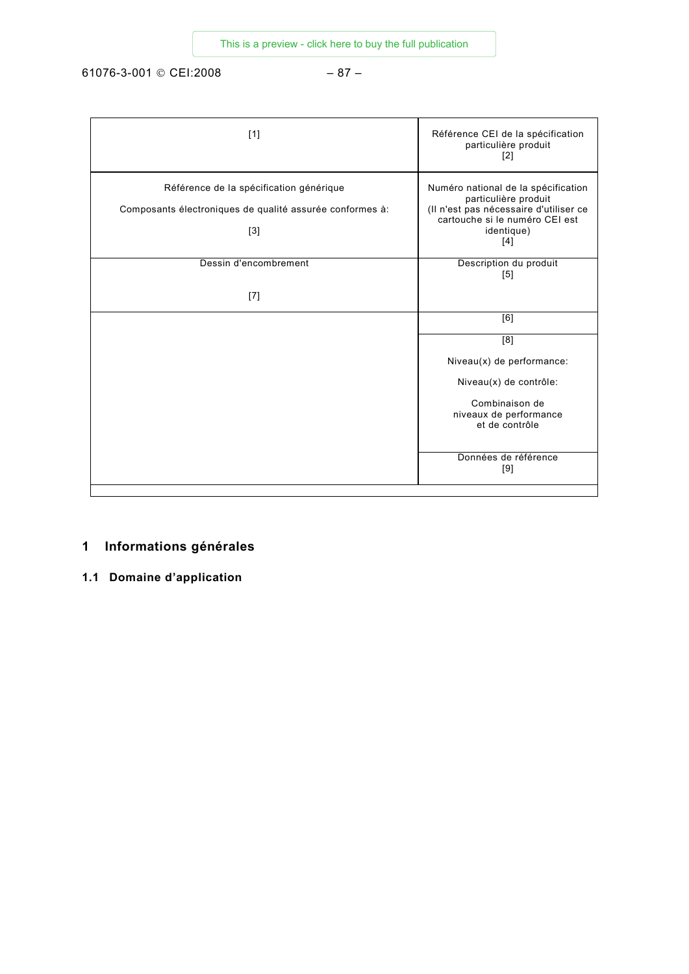<span id="page-18-0"></span>61076-3-001 © CEI:2008 – 87 –

| [1]                                                                                                          | Référence CEI de la spécification<br>particulière produit<br>$[2]$                                                                                           |
|--------------------------------------------------------------------------------------------------------------|--------------------------------------------------------------------------------------------------------------------------------------------------------------|
| Référence de la spécification générique<br>Composants électroniques de qualité assurée conformes à:<br>$[3]$ | Numéro national de la spécification<br>particulière produit<br>(Il n'est pas nécessaire d'utiliser ce<br>cartouche si le numéro CEI est<br>identique)<br>[4] |
| Dessin d'encombrement                                                                                        | Description du produit<br>[5]                                                                                                                                |
| $[7]$                                                                                                        |                                                                                                                                                              |
|                                                                                                              | $\overline{[6]}$                                                                                                                                             |
|                                                                                                              | [8]                                                                                                                                                          |
|                                                                                                              | Niveau(x) de performance:                                                                                                                                    |
|                                                                                                              | Niveau(x) de contrôle:                                                                                                                                       |
|                                                                                                              | Combinaison de<br>niveaux de performance<br>et de contrôle                                                                                                   |
|                                                                                                              | Données de référence<br>[9]                                                                                                                                  |

### **1 Informations générales**

**1.1 Domaine d'application**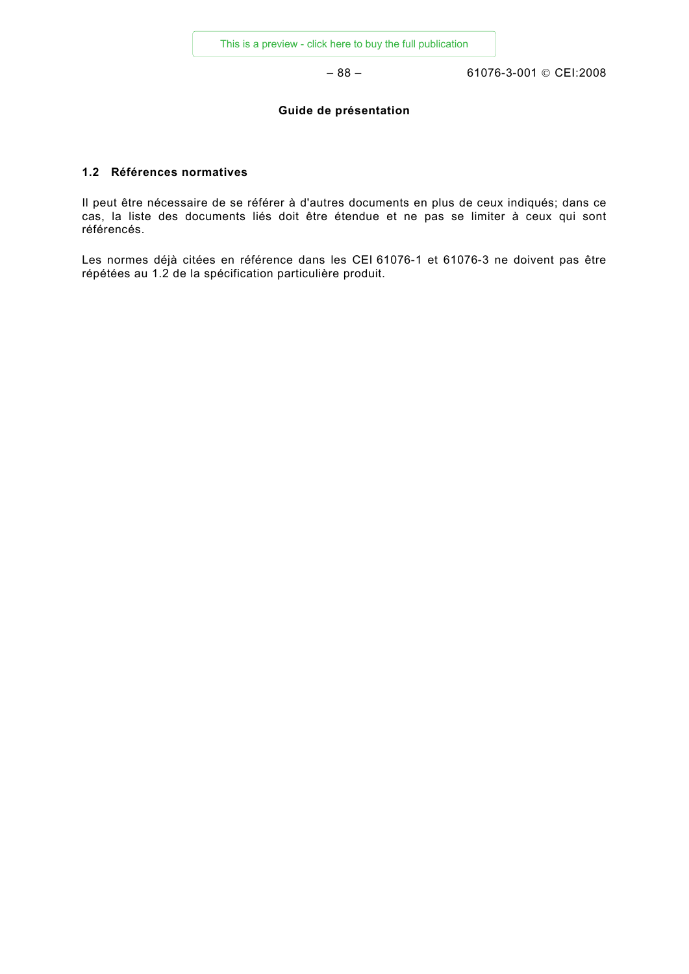– 88 – 61076-3-001 © CEI:2008

### **Guide de présentation**

### **1.2 Références normatives**

Il peut être nécessaire de se référer à d'autres documents en plus de ceux indiqués; dans ce cas, la liste des documents liés doit être étendue et ne pas se limiter à ceux qui sont référencés.

Les normes déjà citées en référence dans les CEI 61076-1 et 61076-3 ne doivent pas être répétées au 1.2 de la spécification particulière produit.